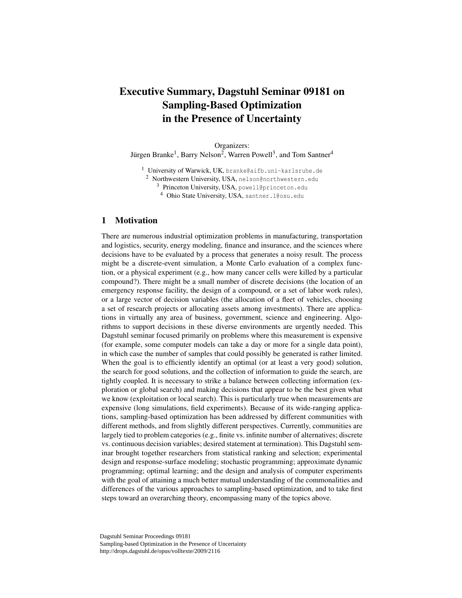# Executive Summary, Dagstuhl Seminar 09181 on Sampling-Based Optimization in the Presence of Uncertainty

Organizers: Jürgen Branke<sup>1</sup>, Barry Nelson<sup>2</sup>, Warren Powell<sup>3</sup>, and Tom Santner<sup>4</sup>

<sup>1</sup> University of Warwick, UK, branke@aifb.uni-karlsruhe.de

<sup>2</sup> Northwestern University, USA, nelson@northwestern.edu

<sup>3</sup> Princeton University, USA, powell@princeton.edu

<sup>4</sup> Ohio State University, USA, santner.l@osu.edu

## 1 Motivation

There are numerous industrial optimization problems in manufacturing, transportation and logistics, security, energy modeling, finance and insurance, and the sciences where decisions have to be evaluated by a process that generates a noisy result. The process might be a discrete-event simulation, a Monte Carlo evaluation of a complex function, or a physical experiment (e.g., how many cancer cells were killed by a particular compound?). There might be a small number of discrete decisions (the location of an emergency response facility, the design of a compound, or a set of labor work rules), or a large vector of decision variables (the allocation of a fleet of vehicles, choosing a set of research projects or allocating assets among investments). There are applications in virtually any area of business, government, science and engineering. Algorithms to support decisions in these diverse environments are urgently needed. This Dagstuhl seminar focused primarily on problems where this measurement is expensive (for example, some computer models can take a day or more for a single data point), in which case the number of samples that could possibly be generated is rather limited. When the goal is to efficiently identify an optimal (or at least a very good) solution, the search for good solutions, and the collection of information to guide the search, are tightly coupled. It is necessary to strike a balance between collecting information (exploration or global search) and making decisions that appear to be the best given what we know (exploitation or local search). This is particularly true when measurements are expensive (long simulations, field experiments). Because of its wide-ranging applications, sampling-based optimization has been addressed by different communities with different methods, and from slightly different perspectives. Currently, communities are largely tied to problem categories (e.g., finite vs. infinite number of alternatives; discrete vs. continuous decision variables; desired statement at termination). This Dagstuhl seminar brought together researchers from statistical ranking and selection; experimental design and response-surface modeling; stochastic programming; approximate dynamic programming; optimal learning; and the design and analysis of computer experiments with the goal of attaining a much better mutual understanding of the commonalities and differences of the various approaches to sampling-based optimization, and to take first steps toward an overarching theory, encompassing many of the topics above.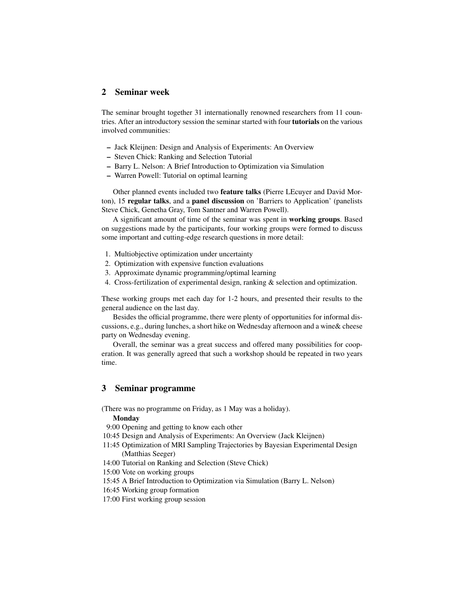## 2 Seminar week

The seminar brought together 31 internationally renowned researchers from 11 countries. After an introductory session the seminar started with four tutorials on the various involved communities:

- Jack Kleijnen: Design and Analysis of Experiments: An Overview
- Steven Chick: Ranking and Selection Tutorial
- Barry L. Nelson: A Brief Introduction to Optimization via Simulation
- Warren Powell: Tutorial on optimal learning

Other planned events included two feature talks (Pierre LEcuyer and David Morton), 15 regular talks, and a panel discussion on 'Barriers to Application' (panelists Steve Chick, Genetha Gray, Tom Santner and Warren Powell).

A significant amount of time of the seminar was spent in working groups. Based on suggestions made by the participants, four working groups were formed to discuss some important and cutting-edge research questions in more detail:

- 1. Multiobjective optimization under uncertainty
- 2. Optimization with expensive function evaluations
- 3. Approximate dynamic programming/optimal learning
- 4. Cross-fertilization of experimental design, ranking & selection and optimization.

These working groups met each day for 1-2 hours, and presented their results to the general audience on the last day.

Besides the official programme, there were plenty of opportunities for informal discussions, e.g., during lunches, a short hike on Wednesday afternoon and a wine& cheese party on Wednesday evening.

Overall, the seminar was a great success and offered many possibilities for cooperation. It was generally agreed that such a workshop should be repeated in two years time.

### 3 Seminar programme

(There was no programme on Friday, as 1 May was a holiday).

#### Monday

9:00 Opening and getting to know each other

- 10:45 Design and Analysis of Experiments: An Overview (Jack Kleijnen)
- 11:45 Optimization of MRI Sampling Trajectories by Bayesian Experimental Design (Matthias Seeger)
- 14:00 Tutorial on Ranking and Selection (Steve Chick)
- 15:00 Vote on working groups
- 15:45 A Brief Introduction to Optimization via Simulation (Barry L. Nelson)
- 16:45 Working group formation
- 17:00 First working group session